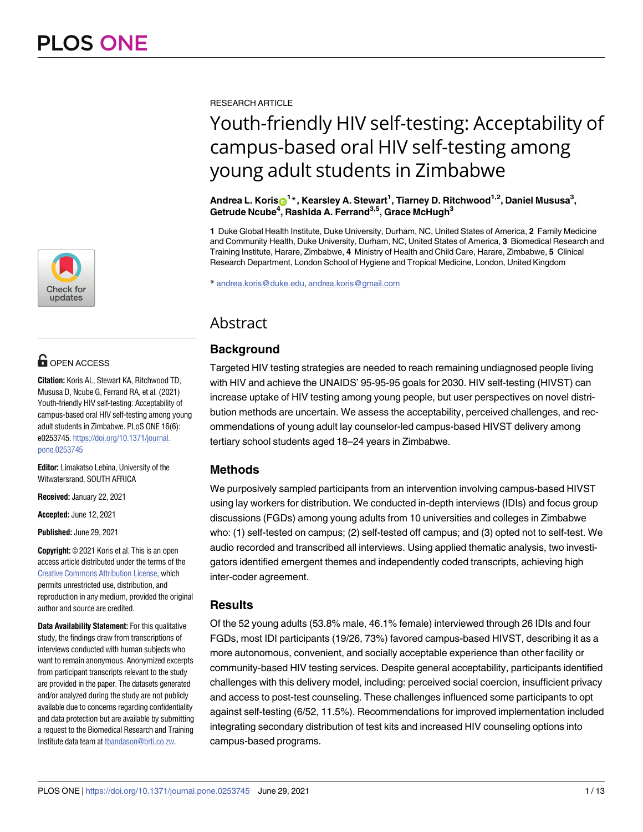

# **OPEN ACCESS**

**Citation:** Koris AL, Stewart KA, Ritchwood TD, Mususa D, Ncube G, Ferrand RA, et al. (2021) Youth-friendly HIV self-testing: Acceptability of campus-based oral HIV self-testing among young adult students in Zimbabwe. PLoS ONE 16(6): e0253745. [https://doi.org/10.1371/journal.](https://doi.org/10.1371/journal.pone.0253745) [pone.0253745](https://doi.org/10.1371/journal.pone.0253745)

**Editor:** Limakatso Lebina, University of the Witwatersrand, SOUTH AFRICA

**Received:** January 22, 2021

**Accepted:** June 12, 2021

**Published:** June 29, 2021

**Copyright:** © 2021 Koris et al. This is an open access article distributed under the terms of the Creative Commons [Attribution](http://creativecommons.org/licenses/by/4.0/) License, which permits unrestricted use, distribution, and reproduction in any medium, provided the original author and source are credited.

**Data Availability Statement:** For this qualitative study, the findings draw from transcriptions of interviews conducted with human subjects who want to remain anonymous. Anonymized excerpts from participant transcripts relevant to the study are provided in the paper. The datasets generated and/or analyzed during the study are not publicly available due to concerns regarding confidentiality and data protection but are available by submitting a request to the Biomedical Research and Training Institute data team at [tbandason@brti.co.zw.](mailto:tbandason@brti.co.zw)

RESEARCH ARTICLE

# Youth-friendly HIV self-testing: Acceptability of campus-based oral HIV self-testing among young adult students in Zimbabwe

 $\mathsf{Andrea}\ \mathsf{L.}\ \mathsf{Koris}\ \mathsf{O}^{1\,\ast},\ \mathsf{Kearsley}\ \mathsf{A.}\ \mathsf{Stewart}^{1},\ \mathsf{Tiarney}\ \mathsf{D.}\ \mathsf{Ritchwood}^{1,2},\ \mathsf{Daniel}\ \mathsf{Mususa}^{3},$ **Getrude Ncube4 , Rashida A. Ferrand3,5, Grace McHugh3**

**1** Duke Global Health Institute, Duke University, Durham, NC, United States of America, **2** Family Medicine and Community Health, Duke University, Durham, NC, United States of America, **3** Biomedical Research and Training Institute, Harare, Zimbabwe, **4** Ministry of Health and Child Care, Harare, Zimbabwe, **5** Clinical Research Department, London School of Hygiene and Tropical Medicine, London, United Kingdom

\* andrea.koris@duke.edu, andrea.koris@gmail.com

# Abstract

# **Background**

Targeted HIV testing strategies are needed to reach remaining undiagnosed people living with HIV and achieve the UNAIDS' 95-95-95 goals for 2030. HIV self-testing (HIVST) can increase uptake of HIV testing among young people, but user perspectives on novel distribution methods are uncertain. We assess the acceptability, perceived challenges, and recommendations of young adult lay counselor-led campus-based HIVST delivery among tertiary school students aged 18–24 years in Zimbabwe.

# **Methods**

We purposively sampled participants from an intervention involving campus-based HIVST using lay workers for distribution. We conducted in-depth interviews (IDIs) and focus group discussions (FGDs) among young adults from 10 universities and colleges in Zimbabwe who: (1) self-tested on campus; (2) self-tested off campus; and (3) opted not to self-test. We audio recorded and transcribed all interviews. Using applied thematic analysis, two investigators identified emergent themes and independently coded transcripts, achieving high inter-coder agreement.

# **Results**

Of the 52 young adults (53.8% male, 46.1% female) interviewed through 26 IDIs and four FGDs, most IDI participants (19/26, 73%) favored campus-based HIVST, describing it as a more autonomous, convenient, and socially acceptable experience than other facility or community-based HIV testing services. Despite general acceptability, participants identified challenges with this delivery model, including: perceived social coercion, insufficient privacy and access to post-test counseling. These challenges influenced some participants to opt against self-testing (6/52, 11.5%). Recommendations for improved implementation included integrating secondary distribution of test kits and increased HIV counseling options into campus-based programs.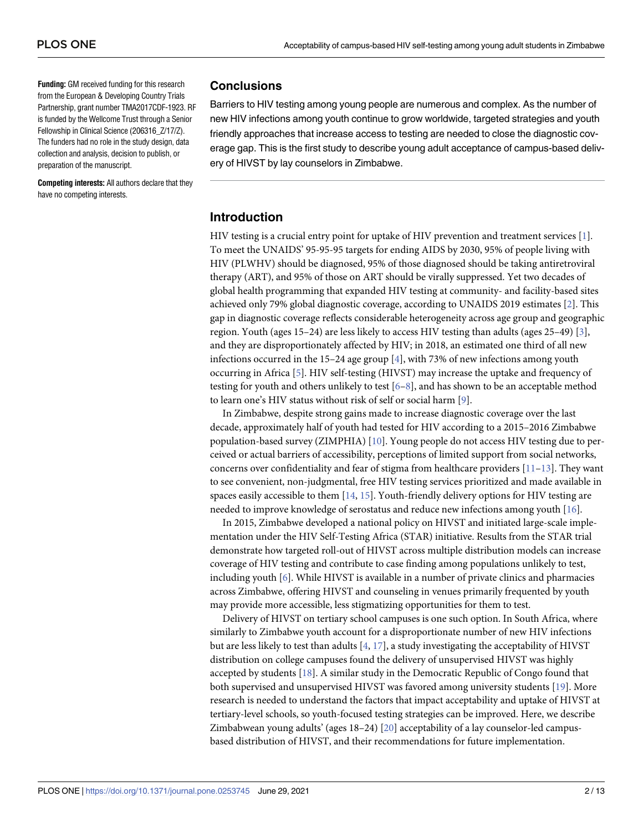<span id="page-1-0"></span>**Funding:** GM received funding for this research from the European & Developing Country Trials Partnership, grant number TMA2017CDF-1923. RF is funded by the Wellcome Trust through a Senior Fellowship in Clinical Science (206316\_Z/17/Z). The funders had no role in the study design, data collection and analysis, decision to publish, or preparation of the manuscript.

**Competing interests:** All authors declare that they have no competing interests.

## **Conclusions**

Barriers to HIV testing among young people are numerous and complex. As the number of new HIV infections among youth continue to grow worldwide, targeted strategies and youth friendly approaches that increase access to testing are needed to close the diagnostic coverage gap. This is the first study to describe young adult acceptance of campus-based delivery of HIVST by lay counselors in Zimbabwe.

## **Introduction**

HIV testing is a crucial entry point for uptake of HIV prevention and treatment services [\[1](#page-10-0)]. To meet the UNAIDS' 95-95-95 targets for ending AIDS by 2030, 95% of people living with HIV (PLWHV) should be diagnosed, 95% of those diagnosed should be taking antiretroviral therapy (ART), and 95% of those on ART should be virally suppressed. Yet two decades of global health programming that expanded HIV testing at community- and facility-based sites achieved only 79% global diagnostic coverage, according to UNAIDS 2019 estimates [\[2\]](#page-10-0). This gap in diagnostic coverage reflects considerable heterogeneity across age group and geographic region. Youth (ages 15–24) are less likely to access HIV testing than adults (ages 25–49) [[3](#page-10-0)], and they are disproportionately affected by HIV; in 2018, an estimated one third of all new infections occurred in the 15–24 age group [[4\]](#page-10-0), with 73% of new infections among youth occurring in Africa [[5\]](#page-10-0). HIV self-testing (HIVST) may increase the uptake and frequency of testing for youth and others unlikely to test  $[6-8]$  $[6-8]$ , and has shown to be an acceptable method to learn one's HIV status without risk of self or social harm [\[9](#page-11-0)].

In Zimbabwe, despite strong gains made to increase diagnostic coverage over the last decade, approximately half of youth had tested for HIV according to a 2015–2016 Zimbabwe population-based survey (ZIMPHIA) [\[10\]](#page-11-0). Young people do not access HIV testing due to perceived or actual barriers of accessibility, perceptions of limited support from social networks, concerns over confidentiality and fear of stigma from healthcare providers  $[11-13]$ . They want to see convenient, non-judgmental, free HIV testing services prioritized and made available in spaces easily accessible to them  $[14, 15]$  $[14, 15]$  $[14, 15]$  $[14, 15]$  $[14, 15]$ . Youth-friendly delivery options for HIV testing are needed to improve knowledge of serostatus and reduce new infections among youth [[16](#page-11-0)].

In 2015, Zimbabwe developed a national policy on HIVST and initiated large-scale implementation under the HIV Self-Testing Africa (STAR) initiative. Results from the STAR trial demonstrate how targeted roll-out of HIVST across multiple distribution models can increase coverage of HIV testing and contribute to case finding among populations unlikely to test, including youth [\[6\]](#page-10-0). While HIVST is available in a number of private clinics and pharmacies across Zimbabwe, offering HIVST and counseling in venues primarily frequented by youth may provide more accessible, less stigmatizing opportunities for them to test.

Delivery of HIVST on tertiary school campuses is one such option. In South Africa, where similarly to Zimbabwe youth account for a disproportionate number of new HIV infections but are less likely to test than adults [[4,](#page-10-0) [17](#page-11-0)], a study investigating the acceptability of HIVST distribution on college campuses found the delivery of unsupervised HIVST was highly accepted by students [[18](#page-11-0)]. A similar study in the Democratic Republic of Congo found that both supervised and unsupervised HIVST was favored among university students [\[19\]](#page-11-0). More research is needed to understand the factors that impact acceptability and uptake of HIVST at tertiary-level schools, so youth-focused testing strategies can be improved. Here, we describe Zimbabwean young adults' (ages 18–24) [[20](#page-11-0)] acceptability of a lay counselor-led campusbased distribution of HIVST, and their recommendations for future implementation.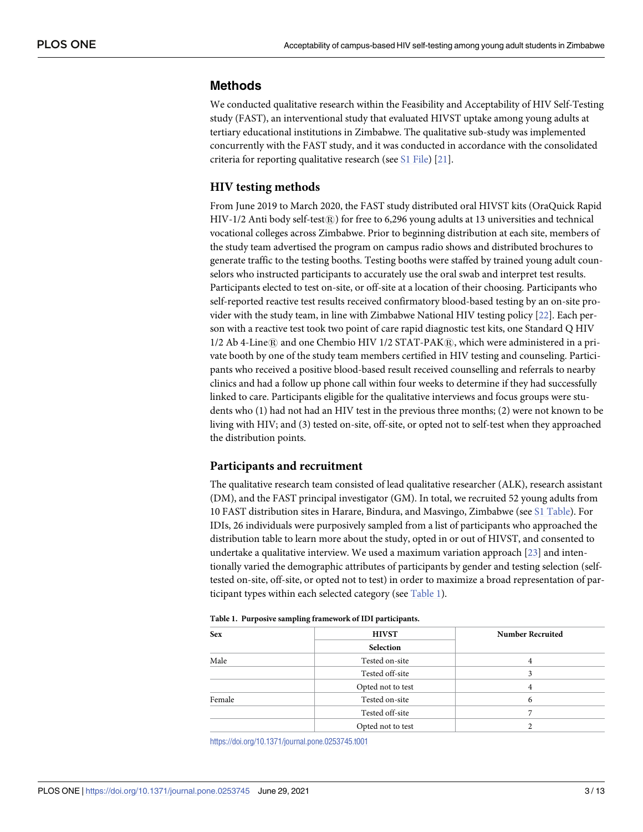#### <span id="page-2-0"></span>**Methods**

We conducted qualitative research within the Feasibility and Acceptability of HIV Self-Testing study (FAST), an interventional study that evaluated HIVST uptake among young adults at tertiary educational institutions in Zimbabwe. The qualitative sub-study was implemented concurrently with the FAST study, and it was conducted in accordance with the consolidated criteria for reporting qualitative research (see S1 [File\)](#page-9-0) [[21](#page-11-0)].

#### **HIV testing methods**

From June 2019 to March 2020, the FAST study distributed oral HIVST kits (OraQuick Rapid HIV-1/2 Anti body self-test $\circledR$ ) for free to 6,296 young adults at 13 universities and technical vocational colleges across Zimbabwe. Prior to beginning distribution at each site, members of the study team advertised the program on campus radio shows and distributed brochures to generate traffic to the testing booths. Testing booths were staffed by trained young adult counselors who instructed participants to accurately use the oral swab and interpret test results. Participants elected to test on-site, or off-site at a location of their choosing. Participants who self-reported reactive test results received confirmatory blood-based testing by an on-site provider with the study team, in line with Zimbabwe National HIV testing policy [\[22\]](#page-11-0). Each person with a reactive test took two point of care rapid diagnostic test kits, one Standard Q HIV  $1/2$  Ab 4-Line $\Re$  and one Chembio HIV  $1/2$  STAT-PAK $\Re$ , which were administered in a private booth by one of the study team members certified in HIV testing and counseling. Participants who received a positive blood-based result received counselling and referrals to nearby clinics and had a follow up phone call within four weeks to determine if they had successfully linked to care. Participants eligible for the qualitative interviews and focus groups were students who (1) had not had an HIV test in the previous three months; (2) were not known to be living with HIV; and (3) tested on-site, off-site, or opted not to self-test when they approached the distribution points.

#### **Participants and recruitment**

The qualitative research team consisted of lead qualitative researcher (ALK), research assistant (DM), and the FAST principal investigator (GM). In total, we recruited 52 young adults from 10 FAST distribution sites in Harare, Bindura, and Masvingo, Zimbabwe (see S1 [Table](#page-10-0)). For IDIs, 26 individuals were purposively sampled from a list of participants who approached the distribution table to learn more about the study, opted in or out of HIVST, and consented to undertake a qualitative interview. We used a maximum variation approach [[23](#page-11-0)] and intentionally varied the demographic attributes of participants by gender and testing selection (selftested on-site, off-site, or opted not to test) in order to maximize a broad representation of participant types within each selected category (see Table 1).

| <b>Sex</b> | <b>HIVST</b>      | <b>Number Recruited</b> |
|------------|-------------------|-------------------------|
|            | Selection         |                         |
| Male       | Tested on-site    |                         |
|            | Tested off-site   | 3                       |
|            | Opted not to test |                         |
| Female     | Tested on-site    | h                       |
|            | Tested off-site   |                         |
|            | Opted not to test |                         |

#### **Table 1. Purposive sampling framework of IDI participants.**

<https://doi.org/10.1371/journal.pone.0253745.t001>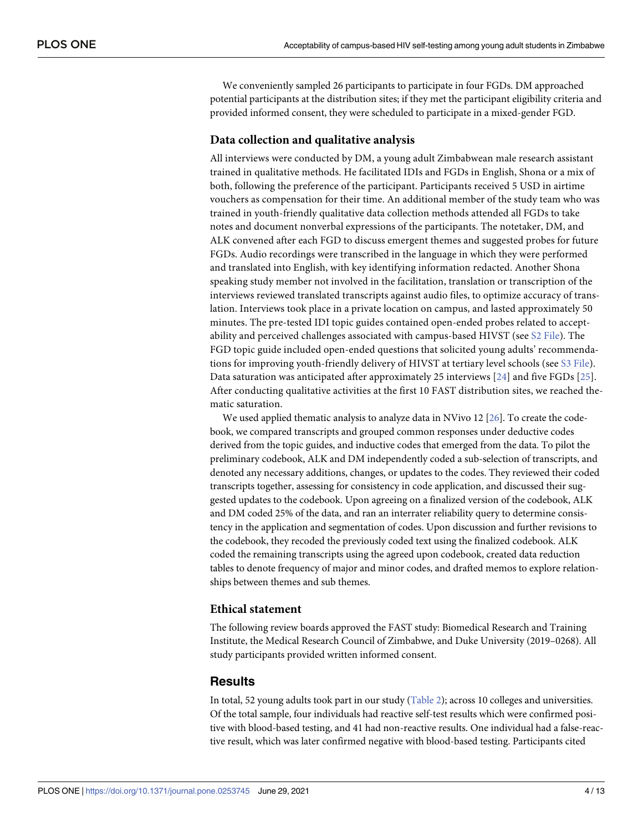<span id="page-3-0"></span>We conveniently sampled 26 participants to participate in four FGDs. DM approached potential participants at the distribution sites; if they met the participant eligibility criteria and provided informed consent, they were scheduled to participate in a mixed-gender FGD.

#### **Data collection and qualitative analysis**

All interviews were conducted by DM, a young adult Zimbabwean male research assistant trained in qualitative methods. He facilitated IDIs and FGDs in English, Shona or a mix of both, following the preference of the participant. Participants received 5 USD in airtime vouchers as compensation for their time. An additional member of the study team who was trained in youth-friendly qualitative data collection methods attended all FGDs to take notes and document nonverbal expressions of the participants. The notetaker, DM, and ALK convened after each FGD to discuss emergent themes and suggested probes for future FGDs. Audio recordings were transcribed in the language in which they were performed and translated into English, with key identifying information redacted. Another Shona speaking study member not involved in the facilitation, translation or transcription of the interviews reviewed translated transcripts against audio files, to optimize accuracy of translation. Interviews took place in a private location on campus, and lasted approximately 50 minutes. The pre-tested IDI topic guides contained open-ended probes related to acceptability and perceived challenges associated with campus-based HIVST (see S2 [File](#page-10-0)). The FGD topic guide included open-ended questions that solicited young adults' recommendations for improving youth-friendly delivery of HIVST at tertiary level schools (see S3 [File](#page-10-0)). Data saturation was anticipated after approximately 25 interviews [[24\]](#page-11-0) and five FGDs [[25](#page-12-0)]. After conducting qualitative activities at the first 10 FAST distribution sites, we reached thematic saturation.

We used applied thematic analysis to analyze data in NVivo 12 [\[26\]](#page-12-0). To create the codebook, we compared transcripts and grouped common responses under deductive codes derived from the topic guides, and inductive codes that emerged from the data. To pilot the preliminary codebook, ALK and DM independently coded a sub-selection of transcripts, and denoted any necessary additions, changes, or updates to the codes. They reviewed their coded transcripts together, assessing for consistency in code application, and discussed their suggested updates to the codebook. Upon agreeing on a finalized version of the codebook, ALK and DM coded 25% of the data, and ran an interrater reliability query to determine consistency in the application and segmentation of codes. Upon discussion and further revisions to the codebook, they recoded the previously coded text using the finalized codebook. ALK coded the remaining transcripts using the agreed upon codebook, created data reduction tables to denote frequency of major and minor codes, and drafted memos to explore relationships between themes and sub themes.

#### **Ethical statement**

The following review boards approved the FAST study: Biomedical Research and Training Institute, the Medical Research Council of Zimbabwe, and Duke University (2019–0268). All study participants provided written informed consent.

#### **Results**

In total, 52 young adults took part in our study [\(Table](#page-4-0) 2); across 10 colleges and universities. Of the total sample, four individuals had reactive self-test results which were confirmed positive with blood-based testing, and 41 had non-reactive results. One individual had a false-reactive result, which was later confirmed negative with blood-based testing. Participants cited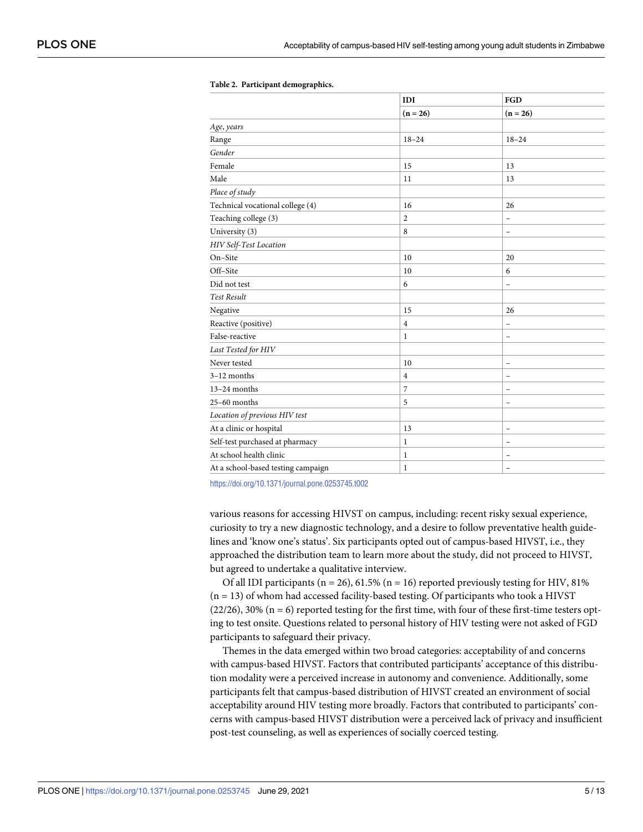|                                    | IDI<br>$(n = 26)$ | FGD<br>$(n = 26)$        |
|------------------------------------|-------------------|--------------------------|
|                                    |                   |                          |
| Age, years                         |                   |                          |
| Range                              | $18 - 24$         | $18 - 24$                |
| Gender                             |                   |                          |
| Female                             | 15                | 13                       |
| Male                               | 11                | 13                       |
| Place of study                     |                   |                          |
| Technical vocational college (4)   | 16                | 26                       |
| Teaching college (3)               | $\overline{c}$    | $\overline{\phantom{0}}$ |
| University (3)                     | 8                 | $\overline{\phantom{a}}$ |
| HIV Self-Test Location             |                   |                          |
| On-Site                            | 10                | 20                       |
| Off-Site                           | 10                | 6                        |
| Did not test                       | 6                 | $\overline{\phantom{0}}$ |
| <b>Test Result</b>                 |                   |                          |
| Negative                           | 15                | 26                       |
| Reactive (positive)                | $\overline{4}$    | $\overline{\phantom{0}}$ |
| False-reactive                     | 1                 | $\overline{a}$           |
| Last Tested for HIV                |                   |                          |
| Never tested                       | 10                | $\qquad \qquad -$        |
| 3-12 months                        | $\overline{4}$    | $\overline{\phantom{0}}$ |
| $13-24$ months                     | 7                 | $\overline{\phantom{0}}$ |
| $25-60$ months                     | 5                 | $\overline{\phantom{0}}$ |
| Location of previous HIV test      |                   |                          |
| At a clinic or hospital            | 13                | $\qquad \qquad -$        |
| Self-test purchased at pharmacy    | $\mathbf{1}$      | $\qquad \qquad -$        |
| At school health clinic            | 1                 | ۰                        |
| At a school-based testing campaign | $\mathbf{1}$      | $\overline{\phantom{0}}$ |

#### <span id="page-4-0"></span>**[Table](#page-3-0) 2. Participant demographics.**

<https://doi.org/10.1371/journal.pone.0253745.t002>

various reasons for accessing HIVST on campus, including: recent risky sexual experience, curiosity to try a new diagnostic technology, and a desire to follow preventative health guidelines and 'know one's status'. Six participants opted out of campus-based HIVST, i.e., they approached the distribution team to learn more about the study, did not proceed to HIVST, but agreed to undertake a qualitative interview.

Of all IDI participants ( $n = 26$ ), 61.5% ( $n = 16$ ) reported previously testing for HIV, 81%  $(n = 13)$  of whom had accessed facility-based testing. Of participants who took a HIVST  $(22/26)$ , 30% (n = 6) reported testing for the first time, with four of these first-time testers opting to test onsite. Questions related to personal history of HIV testing were not asked of FGD participants to safeguard their privacy.

Themes in the data emerged within two broad categories: acceptability of and concerns with campus-based HIVST. Factors that contributed participants' acceptance of this distribution modality were a perceived increase in autonomy and convenience. Additionally, some participants felt that campus-based distribution of HIVST created an environment of social acceptability around HIV testing more broadly. Factors that contributed to participants' concerns with campus-based HIVST distribution were a perceived lack of privacy and insufficient post-test counseling, as well as experiences of socially coerced testing.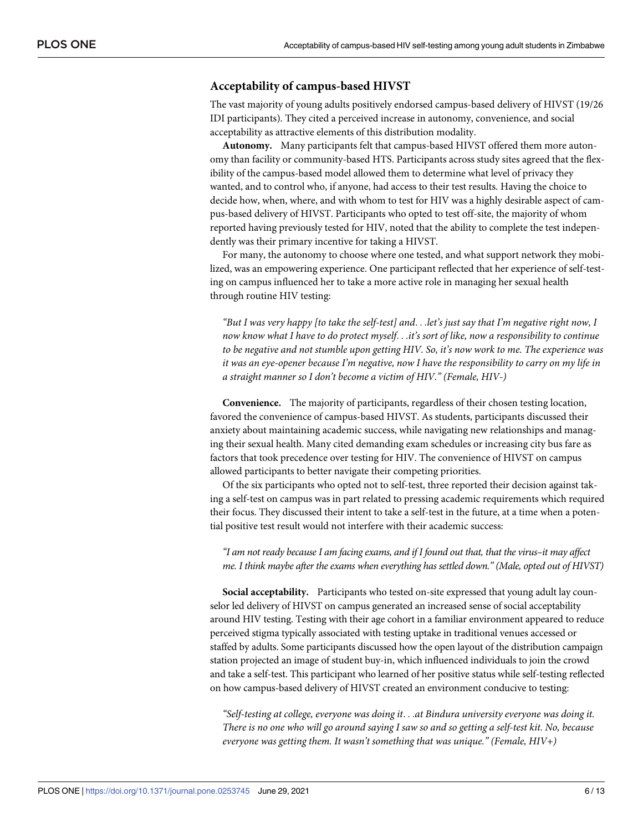#### **Acceptability of campus-based HIVST**

The vast majority of young adults positively endorsed campus-based delivery of HIVST (19/26 IDI participants). They cited a perceived increase in autonomy, convenience, and social acceptability as attractive elements of this distribution modality.

**Autonomy.** Many participants felt that campus-based HIVST offered them more autonomy than facility or community-based HTS. Participants across study sites agreed that the flexibility of the campus-based model allowed them to determine what level of privacy they wanted, and to control who, if anyone, had access to their test results. Having the choice to decide how, when, where, and with whom to test for HIV was a highly desirable aspect of campus-based delivery of HIVST. Participants who opted to test off-site, the majority of whom reported having previously tested for HIV, noted that the ability to complete the test independently was their primary incentive for taking a HIVST.

For many, the autonomy to choose where one tested, and what support network they mobilized, was an empowering experience. One participant reflected that her experience of self-testing on campus influenced her to take a more active role in managing her sexual health through routine HIV testing:

"But I was very happy [to take the self-test] and...let's just say that I'm negative right now, I *now know what I have to do protect myself*. . .*it's sort of like, now a responsibility to continue to be negative and not stumble upon getting HIV. So, it's now work to me. The experience was it was an eye-opener because I'm negative, now I have the responsibility to carry on my life in a straight manner so I don't become a victim of HIV." (Female, HIV-)*

**Convenience.** The majority of participants, regardless of their chosen testing location, favored the convenience of campus-based HIVST. As students, participants discussed their anxiety about maintaining academic success, while navigating new relationships and managing their sexual health. Many cited demanding exam schedules or increasing city bus fare as factors that took precedence over testing for HIV. The convenience of HIVST on campus allowed participants to better navigate their competing priorities.

Of the six participants who opted not to self-test, three reported their decision against taking a self-test on campus was in part related to pressing academic requirements which required their focus. They discussed their intent to take a self-test in the future, at a time when a potential positive test result would not interfere with their academic success:

#### "I am not ready because I am facing exams, and if I found out that, that the virus-it may affect *me. I think maybe after the exams when everything has settled down." (Male, opted out of HIVST)*

**Social acceptability.** Participants who tested on-site expressed that young adult lay counselor led delivery of HIVST on campus generated an increased sense of social acceptability around HIV testing. Testing with their age cohort in a familiar environment appeared to reduce perceived stigma typically associated with testing uptake in traditional venues accessed or staffed by adults. Some participants discussed how the open layout of the distribution campaign station projected an image of student buy-in, which influenced individuals to join the crowd and take a self-test. This participant who learned of her positive status while self-testing reflected on how campus-based delivery of HIVST created an environment conducive to testing:

*"Self-testing at college, everyone was doing it*. . .*at Bindura university everyone was doing it.* There is no one who will go around saying I saw so and so getting a self-test kit. No, because *everyone was getting them. It wasn't something that was unique." (Female, HIV+)*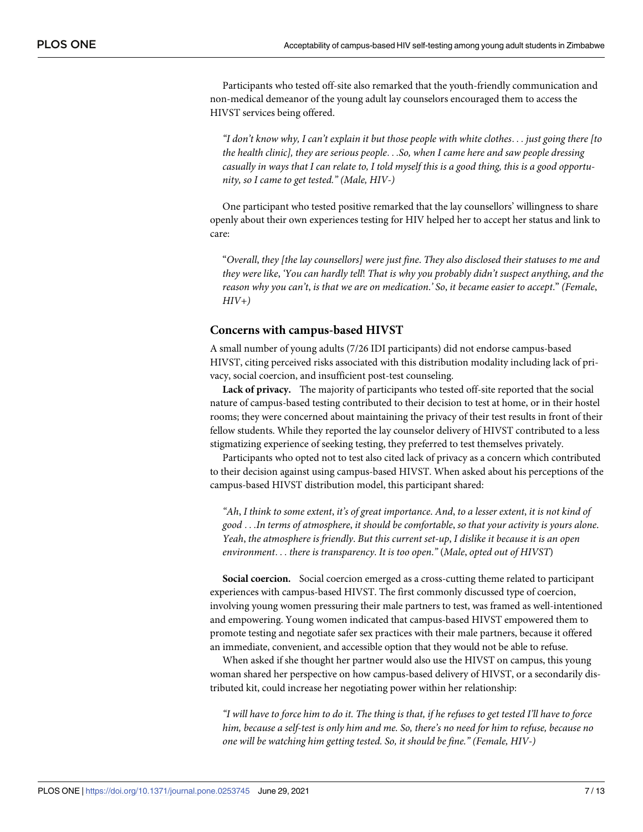Participants who tested off-site also remarked that the youth-friendly communication and non-medical demeanor of the young adult lay counselors encouraged them to access the HIVST services being offered.

"I don't know why, I can't explain it but those people with white clothes... just going there [to *the health clinic], they are serious people*. . .*So, when I came here and saw people dressing* casually in ways that I can relate to, I told myself this is a good thing, this is a good opportu*nity, so I came to get tested." (Male, HIV-)*

One participant who tested positive remarked that the lay counsellors' willingness to share openly about their own experiences testing for HIV helped her to accept her status and link to care:

"*Overall*, *they [the lay counsellors] were just fine*. *They also disclosed their statuses to me and they were like*, *'You can hardly tell*! *That is why you probably didn't suspect anything*, *and the reason why you can't*, *is that we are on medication*.*' So*, *it became easier to accept*." *(Female*, *HIV+)*

#### **Concerns with campus-based HIVST**

A small number of young adults (7/26 IDI participants) did not endorse campus-based HIVST, citing perceived risks associated with this distribution modality including lack of privacy, social coercion, and insufficient post-test counseling.

**Lack of privacy.** The majority of participants who tested off-site reported that the social nature of campus-based testing contributed to their decision to test at home, or in their hostel rooms; they were concerned about maintaining the privacy of their test results in front of their fellow students. While they reported the lay counselor delivery of HIVST contributed to a less stigmatizing experience of seeking testing, they preferred to test themselves privately.

Participants who opted not to test also cited lack of privacy as a concern which contributed to their decision against using campus-based HIVST. When asked about his perceptions of the campus-based HIVST distribution model, this participant shared:

"Ah, I think to some extent, it's of great importance. And, to a lesser extent, it is not kind of *good* . . .*In terms of atmosphere*, *it should be comfortable*, *so that your activity is yours alone*. *Yeah*, *the atmosphere is friendly*. *But this current set-up*, *I dislike it because it is an open environment*. . . *there is transparency*. *It is too open*.*"* (*Male*, *opted out of HIVST*)

**Social coercion.** Social coercion emerged as a cross-cutting theme related to participant experiences with campus-based HIVST. The first commonly discussed type of coercion, involving young women pressuring their male partners to test, was framed as well-intentioned and empowering. Young women indicated that campus-based HIVST empowered them to promote testing and negotiate safer sex practices with their male partners, because it offered an immediate, convenient, and accessible option that they would not be able to refuse.

When asked if she thought her partner would also use the HIVST on campus, this young woman shared her perspective on how campus-based delivery of HIVST, or a secondarily distributed kit, could increase her negotiating power within her relationship:

"I will have to force him to do it. The thing is that, if he refuses to get tested I'll have to force him, because a self-test is only him and me. So, there's no need for him to refuse, because no *one will be watching him getting tested. So, it should be fine." (Female, HIV-)*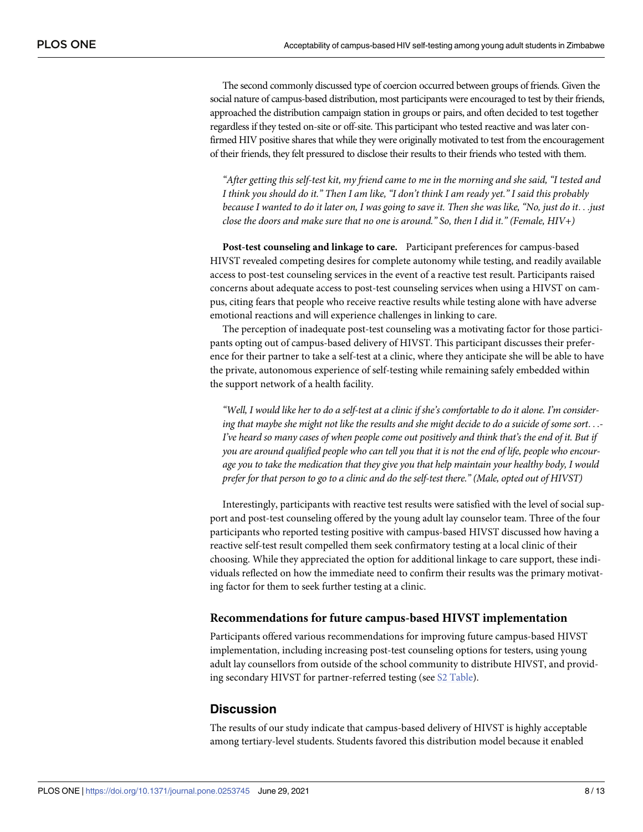The second commonly discussed type of coercion occurred between groups of friends. Given the social nature of campus-based distribution, most participants were encouraged to test by their friends, approached the distribution campaign station in groups or pairs, and often decided to test together regardless if they tested on-site or off-site. This participant who tested reactive and was later confirmed HIV positive shares that while they were originally motivated to test from the encouragement of their friends, they felt pressured to disclose their results to their friends who tested with them.

"After getting this self-test kit, my friend came to me in the morning and she said, "I tested and I think you should do it." Then I am like, "I don't think I am ready yet." I said this probably because I wanted to do it later on, I was going to save it. Then she was like, "No, just do it... just *close the doors and make sure that no one is around." So, then I did it." (Female, HIV+)*

**Post-test counseling and linkage to care.** Participant preferences for campus-based HIVST revealed competing desires for complete autonomy while testing, and readily available access to post-test counseling services in the event of a reactive test result. Participants raised concerns about adequate access to post-test counseling services when using a HIVST on campus, citing fears that people who receive reactive results while testing alone with have adverse emotional reactions and will experience challenges in linking to care.

The perception of inadequate post-test counseling was a motivating factor for those participants opting out of campus-based delivery of HIVST. This participant discusses their preference for their partner to take a self-test at a clinic, where they anticipate she will be able to have the private, autonomous experience of self-testing while remaining safely embedded within the support network of a health facility.

"Well, I would like her to do a self-test at a clinic if she's comfortable to do it alone. I'm considering that maybe she might not like the results and she might decide to do a suicide of some sort...-I've heard so many cases of when people come out positively and think that's the end of it. But if you are around qualified people who can tell you that it is not the end of life, people who encour*age you to take the medication that they give you that help maintain your healthy body, I would* prefer for that person to go to a clinic and do the self-test there." (Male, opted out of HIVST)

Interestingly, participants with reactive test results were satisfied with the level of social support and post-test counseling offered by the young adult lay counselor team. Three of the four participants who reported testing positive with campus-based HIVST discussed how having a reactive self-test result compelled them seek confirmatory testing at a local clinic of their choosing. While they appreciated the option for additional linkage to care support, these individuals reflected on how the immediate need to confirm their results was the primary motivating factor for them to seek further testing at a clinic.

#### **Recommendations for future campus-based HIVST implementation**

Participants offered various recommendations for improving future campus-based HIVST implementation, including increasing post-test counseling options for testers, using young adult lay counsellors from outside of the school community to distribute HIVST, and providing secondary HIVST for partner-referred testing (see S2 [Table](#page-10-0)).

#### **Discussion**

The results of our study indicate that campus-based delivery of HIVST is highly acceptable among tertiary-level students. Students favored this distribution model because it enabled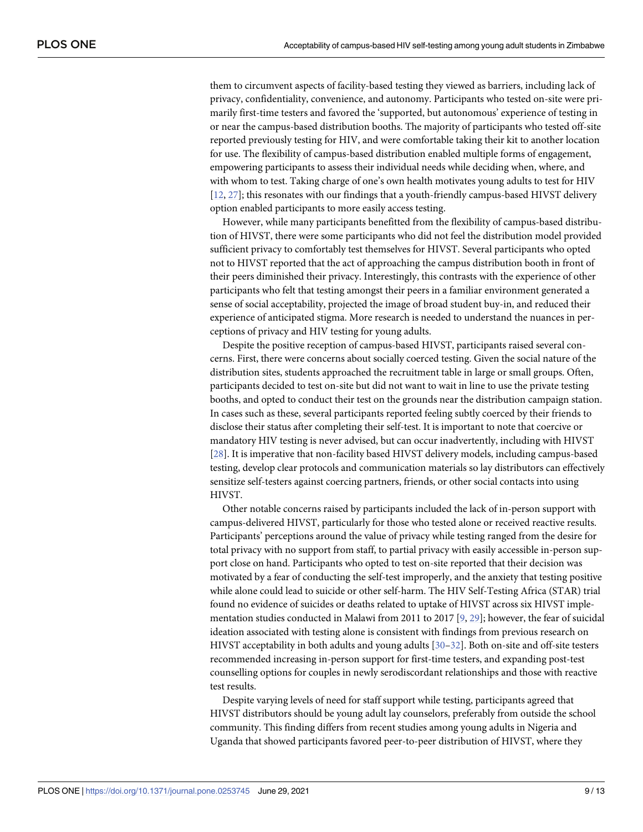<span id="page-8-0"></span>them to circumvent aspects of facility-based testing they viewed as barriers, including lack of privacy, confidentiality, convenience, and autonomy. Participants who tested on-site were primarily first-time testers and favored the 'supported, but autonomous' experience of testing in or near the campus-based distribution booths. The majority of participants who tested off-site reported previously testing for HIV, and were comfortable taking their kit to another location for use. The flexibility of campus-based distribution enabled multiple forms of engagement, empowering participants to assess their individual needs while deciding when, where, and with whom to test. Taking charge of one's own health motivates young adults to test for HIV [\[12,](#page-11-0) [27\]](#page-12-0); this resonates with our findings that a youth-friendly campus-based HIVST delivery option enabled participants to more easily access testing.

However, while many participants benefitted from the flexibility of campus-based distribution of HIVST, there were some participants who did not feel the distribution model provided sufficient privacy to comfortably test themselves for HIVST. Several participants who opted not to HIVST reported that the act of approaching the campus distribution booth in front of their peers diminished their privacy. Interestingly, this contrasts with the experience of other participants who felt that testing amongst their peers in a familiar environment generated a sense of social acceptability, projected the image of broad student buy-in, and reduced their experience of anticipated stigma. More research is needed to understand the nuances in perceptions of privacy and HIV testing for young adults.

Despite the positive reception of campus-based HIVST, participants raised several concerns. First, there were concerns about socially coerced testing. Given the social nature of the distribution sites, students approached the recruitment table in large or small groups. Often, participants decided to test on-site but did not want to wait in line to use the private testing booths, and opted to conduct their test on the grounds near the distribution campaign station. In cases such as these, several participants reported feeling subtly coerced by their friends to disclose their status after completing their self-test. It is important to note that coercive or mandatory HIV testing is never advised, but can occur inadvertently, including with HIVST [\[28\]](#page-12-0). It is imperative that non-facility based HIVST delivery models, including campus-based testing, develop clear protocols and communication materials so lay distributors can effectively sensitize self-testers against coercing partners, friends, or other social contacts into using HIVST.

Other notable concerns raised by participants included the lack of in-person support with campus-delivered HIVST, particularly for those who tested alone or received reactive results. Participants' perceptions around the value of privacy while testing ranged from the desire for total privacy with no support from staff, to partial privacy with easily accessible in-person support close on hand. Participants who opted to test on-site reported that their decision was motivated by a fear of conducting the self-test improperly, and the anxiety that testing positive while alone could lead to suicide or other self-harm. The HIV Self-Testing Africa (STAR) trial found no evidence of suicides or deaths related to uptake of HIVST across six HIVST implementation studies conducted in Malawi from 2011 to 2017 [\[9,](#page-11-0) [29\]](#page-12-0); however, the fear of suicidal ideation associated with testing alone is consistent with findings from previous research on HIVST acceptability in both adults and young adults [\[30–32\]](#page-12-0). Both on-site and off-site testers recommended increasing in-person support for first-time testers, and expanding post-test counselling options for couples in newly serodiscordant relationships and those with reactive test results.

Despite varying levels of need for staff support while testing, participants agreed that HIVST distributors should be young adult lay counselors, preferably from outside the school community. This finding differs from recent studies among young adults in Nigeria and Uganda that showed participants favored peer-to-peer distribution of HIVST, where they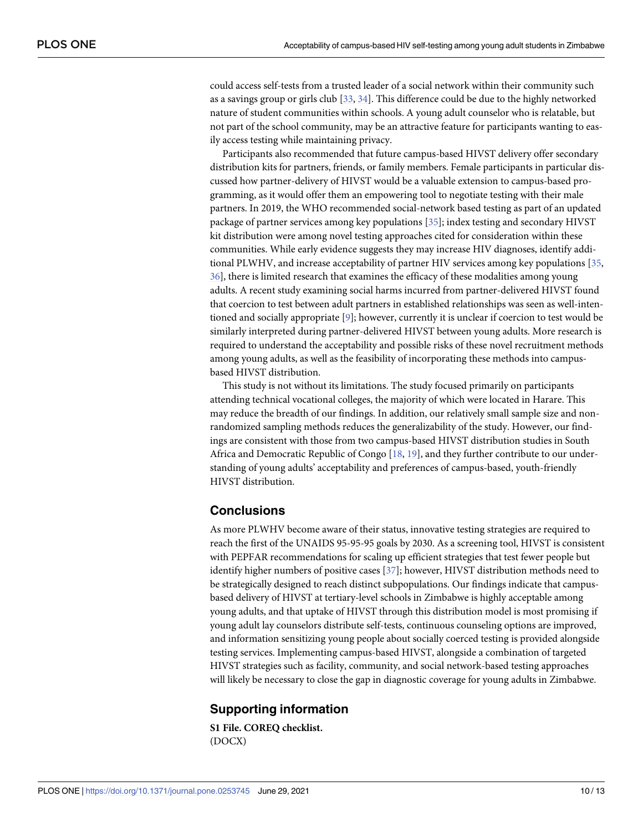<span id="page-9-0"></span>could access self-tests from a trusted leader of a social network within their community such as a savings group or girls club [[33](#page-12-0), [34](#page-12-0)]. This difference could be due to the highly networked nature of student communities within schools. A young adult counselor who is relatable, but not part of the school community, may be an attractive feature for participants wanting to easily access testing while maintaining privacy.

Participants also recommended that future campus-based HIVST delivery offer secondary distribution kits for partners, friends, or family members. Female participants in particular discussed how partner-delivery of HIVST would be a valuable extension to campus-based programming, as it would offer them an empowering tool to negotiate testing with their male partners. In 2019, the WHO recommended social-network based testing as part of an updated package of partner services among key populations [\[35](#page-12-0)]; index testing and secondary HIVST kit distribution were among novel testing approaches cited for consideration within these communities. While early evidence suggests they may increase HIV diagnoses, identify additional PLWHV, and increase acceptability of partner HIV services among key populations [\[35,](#page-12-0) [36\]](#page-12-0), there is limited research that examines the efficacy of these modalities among young adults. A recent study examining social harms incurred from partner-delivered HIVST found that coercion to test between adult partners in established relationships was seen as well-intentioned and socially appropriate [\[9\]](#page-11-0); however, currently it is unclear if coercion to test would be similarly interpreted during partner-delivered HIVST between young adults. More research is required to understand the acceptability and possible risks of these novel recruitment methods among young adults, as well as the feasibility of incorporating these methods into campusbased HIVST distribution.

This study is not without its limitations. The study focused primarily on participants attending technical vocational colleges, the majority of which were located in Harare. This may reduce the breadth of our findings. In addition, our relatively small sample size and nonrandomized sampling methods reduces the generalizability of the study. However, our findings are consistent with those from two campus-based HIVST distribution studies in South Africa and Democratic Republic of Congo [[18](#page-11-0), [19](#page-11-0)], and they further contribute to our understanding of young adults' acceptability and preferences of campus-based, youth-friendly HIVST distribution.

# **Conclusions**

As more PLWHV become aware of their status, innovative testing strategies are required to reach the first of the UNAIDS 95-95-95 goals by 2030. As a screening tool, HIVST is consistent with PEPFAR recommendations for scaling up efficient strategies that test fewer people but identify higher numbers of positive cases [[37](#page-12-0)]; however, HIVST distribution methods need to be strategically designed to reach distinct subpopulations. Our findings indicate that campusbased delivery of HIVST at tertiary-level schools in Zimbabwe is highly acceptable among young adults, and that uptake of HIVST through this distribution model is most promising if young adult lay counselors distribute self-tests, continuous counseling options are improved, and information sensitizing young people about socially coerced testing is provided alongside testing services. Implementing campus-based HIVST, alongside a combination of targeted HIVST strategies such as facility, community, and social network-based testing approaches will likely be necessary to close the gap in diagnostic coverage for young adults in Zimbabwe.

# **Supporting information**

**S1 [File.](http://www.plosone.org/article/fetchSingleRepresentation.action?uri=info:doi/10.1371/journal.pone.0253745.s001) COREQ checklist.** (DOCX)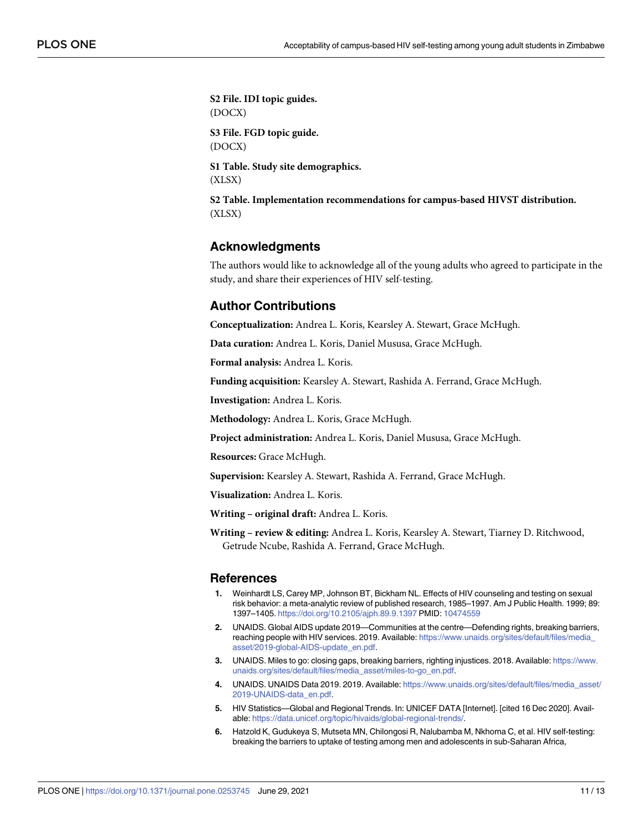<span id="page-10-0"></span>**S2 [File.](http://www.plosone.org/article/fetchSingleRepresentation.action?uri=info:doi/10.1371/journal.pone.0253745.s002) IDI topic guides.** (DOCX) **S3 [File.](http://www.plosone.org/article/fetchSingleRepresentation.action?uri=info:doi/10.1371/journal.pone.0253745.s003) FGD topic guide.** (DOCX) **S1 [Table.](http://www.plosone.org/article/fetchSingleRepresentation.action?uri=info:doi/10.1371/journal.pone.0253745.s004) Study site demographics.** (XLSX) **S2 [Table.](http://www.plosone.org/article/fetchSingleRepresentation.action?uri=info:doi/10.1371/journal.pone.0253745.s005) Implementation recommendations for campus-based HIVST distribution.** (XLSX)

#### **Acknowledgments**

The authors would like to acknowledge all of the young adults who agreed to participate in the study, and share their experiences of HIV self-testing.

## **Author Contributions**

**Conceptualization:** Andrea L. Koris, Kearsley A. Stewart, Grace McHugh.

**Data curation:** Andrea L. Koris, Daniel Mususa, Grace McHugh.

**Formal analysis:** Andrea L. Koris.

**Funding acquisition:** Kearsley A. Stewart, Rashida A. Ferrand, Grace McHugh.

**Investigation:** Andrea L. Koris.

**Methodology:** Andrea L. Koris, Grace McHugh.

**Project administration:** Andrea L. Koris, Daniel Mususa, Grace McHugh.

**Resources:** Grace McHugh.

**Supervision:** Kearsley A. Stewart, Rashida A. Ferrand, Grace McHugh.

**Visualization:** Andrea L. Koris.

**Writing – original draft:** Andrea L. Koris.

**Writing – review & editing:** Andrea L. Koris, Kearsley A. Stewart, Tiarney D. Ritchwood, Getrude Ncube, Rashida A. Ferrand, Grace McHugh.

#### **References**

- **[1](#page-1-0).** Weinhardt LS, Carey MP, Johnson BT, Bickham NL. Effects of HIV counseling and testing on sexual risk behavior: a meta-analytic review of published research, 1985–1997. Am J Public Health. 1999; 89: 1397–1405. <https://doi.org/10.2105/ajph.89.9.1397> PMID: [10474559](http://www.ncbi.nlm.nih.gov/pubmed/10474559)
- **[2](#page-1-0).** UNAIDS. Global AIDS update 2019—Communities at the centre—Defending rights, breaking barriers, reaching people with HIV services. 2019. Available: [https://www.unaids.org/sites/default/files/media\\_](https://www.unaids.org/sites/default/files/media_asset/2019-global-AIDS-update_en.pdf) [asset/2019-global-AIDS-update\\_en.pdf](https://www.unaids.org/sites/default/files/media_asset/2019-global-AIDS-update_en.pdf).
- **[3](#page-1-0).** UNAIDS. Miles to go: closing gaps, breaking barriers, righting injustices. 2018. Available: [https://www.](https://www.unaids.org/sites/default/files/media_asset/miles-to-go_en.pdf) [unaids.org/sites/default/files/media\\_asset/miles-to-go\\_en.pdf](https://www.unaids.org/sites/default/files/media_asset/miles-to-go_en.pdf).
- **[4](#page-1-0).** UNAIDS. UNAIDS Data 2019. 2019. Available: [https://www.unaids.org/sites/default/files/media\\_asset/](https://www.unaids.org/sites/default/files/media_asset/2019-UNAIDS-data_en.pdf) [2019-UNAIDS-data\\_en.pdf.](https://www.unaids.org/sites/default/files/media_asset/2019-UNAIDS-data_en.pdf)
- **[5](#page-1-0).** HIV Statistics—Global and Regional Trends. In: UNICEF DATA [Internet]. [cited 16 Dec 2020]. Available: [https://data.unicef.org/topic/hivaids/global-regional-trends/.](https://data.unicef.org/topic/hivaids/global-regional-trends/)
- **[6](#page-1-0).** Hatzold K, Gudukeya S, Mutseta MN, Chilongosi R, Nalubamba M, Nkhoma C, et al. HIV self-testing: breaking the barriers to uptake of testing among men and adolescents in sub-Saharan Africa,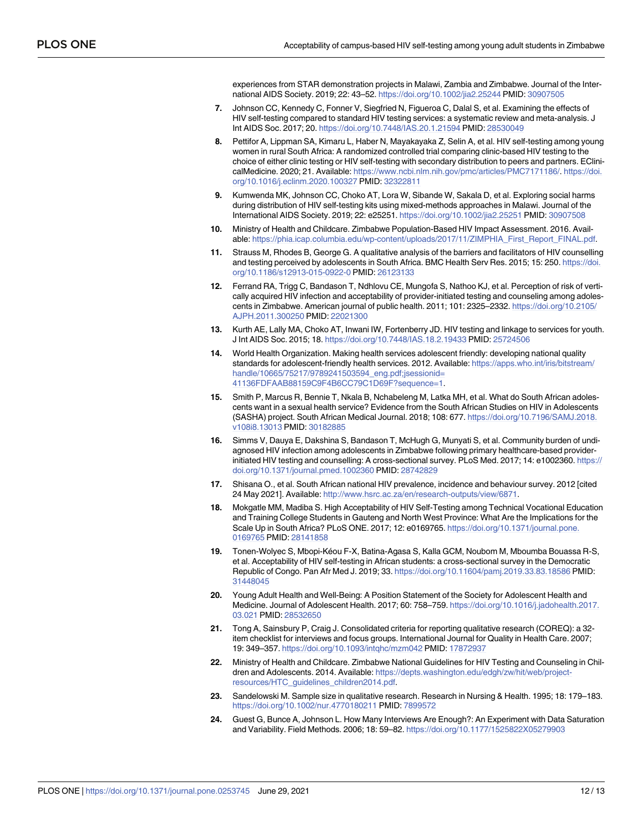experiences from STAR demonstration projects in Malawi, Zambia and Zimbabwe. Journal of the International AIDS Society. 2019; 22: 43–52. <https://doi.org/10.1002/jia2.25244> PMID: [30907505](http://www.ncbi.nlm.nih.gov/pubmed/30907505)

- <span id="page-11-0"></span>**7.** Johnson CC, Kennedy C, Fonner V, Siegfried N, Figueroa C, Dalal S, et al. Examining the effects of HIV self-testing compared to standard HIV testing services: a systematic review and meta-analysis. J Int AIDS Soc. 2017; 20. <https://doi.org/10.7448/IAS.20.1.21594> PMID: [28530049](http://www.ncbi.nlm.nih.gov/pubmed/28530049)
- **[8](#page-1-0).** Pettifor A, Lippman SA, Kimaru L, Haber N, Mayakayaka Z, Selin A, et al. HIV self-testing among young women in rural South Africa: A randomized controlled trial comparing clinic-based HIV testing to the choice of either clinic testing or HIV self-testing with secondary distribution to peers and partners. EClinicalMedicine. 2020; 21. Available: <https://www.ncbi.nlm.nih.gov/pmc/articles/PMC7171186/>. [https://doi.](https://doi.org/10.1016/j.eclinm.2020.100327) [org/10.1016/j.eclinm.2020.100327](https://doi.org/10.1016/j.eclinm.2020.100327) PMID: [32322811](http://www.ncbi.nlm.nih.gov/pubmed/32322811)
- **[9](#page-1-0).** Kumwenda MK, Johnson CC, Choko AT, Lora W, Sibande W, Sakala D, et al. Exploring social harms during distribution of HIV self-testing kits using mixed-methods approaches in Malawi. Journal of the International AIDS Society. 2019; 22: e25251. <https://doi.org/10.1002/jia2.25251> PMID: [30907508](http://www.ncbi.nlm.nih.gov/pubmed/30907508)
- **[10](#page-1-0).** Ministry of Health and Childcare. Zimbabwe Population-Based HIV Impact Assessment. 2016. Available: [https://phia.icap.columbia.edu/wp-content/uploads/2017/11/ZIMPHIA\\_First\\_Report\\_FINAL.pdf](https://phia.icap.columbia.edu/wp-content/uploads/2017/11/ZIMPHIA_First_Report_FINAL.pdf).
- **[11](#page-1-0).** Strauss M, Rhodes B, George G. A qualitative analysis of the barriers and facilitators of HIV counselling and testing perceived by adolescents in South Africa. BMC Health Serv Res. 2015; 15: 250. [https://doi.](https://doi.org/10.1186/s12913-015-0922-0) [org/10.1186/s12913-015-0922-0](https://doi.org/10.1186/s12913-015-0922-0) PMID: [26123133](http://www.ncbi.nlm.nih.gov/pubmed/26123133)
- **[12](#page-8-0).** Ferrand RA, Trigg C, Bandason T, Ndhlovu CE, Mungofa S, Nathoo KJ, et al. Perception of risk of vertically acquired HIV infection and acceptability of provider-initiated testing and counseling among adolescents in Zimbabwe. American journal of public health. 2011; 101: 2325–2332. [https://doi.org/10.2105/](https://doi.org/10.2105/AJPH.2011.300250) [AJPH.2011.300250](https://doi.org/10.2105/AJPH.2011.300250) PMID: [22021300](http://www.ncbi.nlm.nih.gov/pubmed/22021300)
- **[13](#page-1-0).** Kurth AE, Lally MA, Choko AT, Inwani IW, Fortenberry JD. HIV testing and linkage to services for youth. J Int AIDS Soc. 2015; 18. <https://doi.org/10.7448/IAS.18.2.19433> PMID: [25724506](http://www.ncbi.nlm.nih.gov/pubmed/25724506)
- **[14](#page-1-0).** World Health Organization. Making health services adolescent friendly: developing national quality standards for adolescent-friendly health services. 2012. Available: [https://apps.who.int/iris/bitstream/](https://apps.who.int/iris/bitstream/handle/10665/75217/9789241503594_eng.pdf;jsessionid=41136FDFAAB88159C9F4B6CC79C1D69F?sequence=1) [handle/10665/75217/9789241503594\\_eng.pdf;jsessionid=](https://apps.who.int/iris/bitstream/handle/10665/75217/9789241503594_eng.pdf;jsessionid=41136FDFAAB88159C9F4B6CC79C1D69F?sequence=1) [41136FDFAAB88159C9F4B6CC79C1D69F?sequence=1](https://apps.who.int/iris/bitstream/handle/10665/75217/9789241503594_eng.pdf;jsessionid=41136FDFAAB88159C9F4B6CC79C1D69F?sequence=1).
- **[15](#page-1-0).** Smith P, Marcus R, Bennie T, Nkala B, Nchabeleng M, Latka MH, et al. What do South African adolescents want in a sexual health service? Evidence from the South African Studies on HIV in Adolescents (SASHA) project. South African Medical Journal. 2018; 108: 677. [https://doi.org/10.7196/SAMJ.2018.](https://doi.org/10.7196/SAMJ.2018.v108i8.13013) [v108i8.13013](https://doi.org/10.7196/SAMJ.2018.v108i8.13013) PMID: [30182885](http://www.ncbi.nlm.nih.gov/pubmed/30182885)
- **[16](#page-1-0).** Simms V, Dauya E, Dakshina S, Bandason T, McHugh G, Munyati S, et al. Community burden of undiagnosed HIV infection among adolescents in Zimbabwe following primary healthcare-based providerinitiated HIV testing and counselling: A cross-sectional survey. PLoS Med. 2017; 14: e1002360. [https://](https://doi.org/10.1371/journal.pmed.1002360) [doi.org/10.1371/journal.pmed.1002360](https://doi.org/10.1371/journal.pmed.1002360) PMID: [28742829](http://www.ncbi.nlm.nih.gov/pubmed/28742829)
- **[17](#page-1-0).** Shisana O., et al. South African national HIV prevalence, incidence and behaviour survey. 2012 [cited 24 May 2021]. Available: [http://www.hsrc.ac.za/en/research-outputs/view/6871.](http://www.hsrc.ac.za/en/research-outputs/view/6871)
- **[18](#page-1-0).** Mokgatle MM, Madiba S. High Acceptability of HIV Self-Testing among Technical Vocational Education and Training College Students in Gauteng and North West Province: What Are the Implications for the Scale Up in South Africa? PLoS ONE. 2017; 12: e0169765. [https://doi.org/10.1371/journal.pone.](https://doi.org/10.1371/journal.pone.0169765) [0169765](https://doi.org/10.1371/journal.pone.0169765) PMID: [28141858](http://www.ncbi.nlm.nih.gov/pubmed/28141858)
- **[19](#page-1-0).** Tonen-Wolyec S, Mbopi-Kéou F-X, Batina-Agasa S, Kalla GCM, Noubom M, Mboumba Bouassa R-S, et al. Acceptability of HIV self-testing in African students: a cross-sectional survey in the Democratic Republic of Congo. Pan Afr Med J. 2019; 33. <https://doi.org/10.11604/pamj.2019.33.83.18586> PMID: [31448045](http://www.ncbi.nlm.nih.gov/pubmed/31448045)
- **[20](#page-1-0).** Young Adult Health and Well-Being: A Position Statement of the Society for Adolescent Health and Medicine. Journal of Adolescent Health. 2017; 60: 758–759. [https://doi.org/10.1016/j.jadohealth.2017.](https://doi.org/10.1016/j.jadohealth.2017.03.021) [03.021](https://doi.org/10.1016/j.jadohealth.2017.03.021) PMID: [28532650](http://www.ncbi.nlm.nih.gov/pubmed/28532650)
- **[21](#page-2-0).** Tong A, Sainsbury P, Craig J. Consolidated criteria for reporting qualitative research (COREQ): a 32 item checklist for interviews and focus groups. International Journal for Quality in Health Care. 2007; 19: 349–357. <https://doi.org/10.1093/intqhc/mzm042> PMID: [17872937](http://www.ncbi.nlm.nih.gov/pubmed/17872937)
- **[22](#page-2-0).** Ministry of Health and Childcare. Zimbabwe National Guidelines for HIV Testing and Counseling in Children and Adolescents. 2014. Available: [https://depts.washington.edu/edgh/zw/hit/web/project](https://depts.washington.edu/edgh/zw/hit/web/project-resources/HTC_guidelines_children2014.pdf)[resources/HTC\\_guidelines\\_children2014.pdf](https://depts.washington.edu/edgh/zw/hit/web/project-resources/HTC_guidelines_children2014.pdf).
- **[23](#page-2-0).** Sandelowski M. Sample size in qualitative research. Research in Nursing & Health. 1995; 18: 179–183. <https://doi.org/10.1002/nur.4770180211> PMID: [7899572](http://www.ncbi.nlm.nih.gov/pubmed/7899572)
- **[24](#page-3-0).** Guest G, Bunce A, Johnson L. How Many Interviews Are Enough?: An Experiment with Data Saturation and Variability. Field Methods. 2006; 18: 59–82. <https://doi.org/10.1177/1525822X05279903>